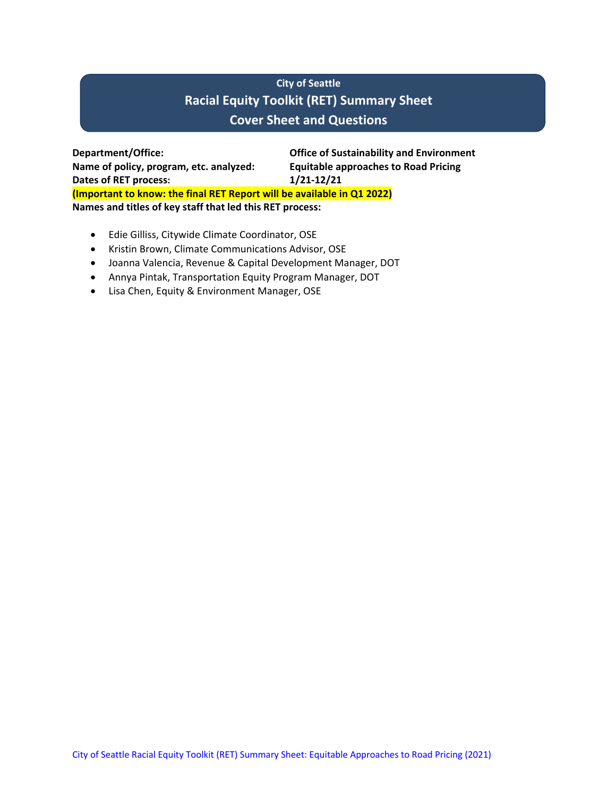# **City of Seattle Racial Equity Toolkit (RET) Summary Sheet Cover Sheet and Questions**

**Department/Office: Office of Sustainability and Environment Name of policy, program, etc. analyzed: Equitable approaches to Road Pricing Dates of RET process: 1/21-12/21 (Important to know: the final RET Report will be available in Q1 2022) Names and titles of key staff that led this RET process:**

- Edie Gilliss, Citywide Climate Coordinator, OSE
- Kristin Brown, Climate Communications Advisor, OSE
- Joanna Valencia, Revenue & Capital Development Manager, DOT
- Annya Pintak, Transportation Equity Program Manager, DOT
- Lisa Chen, Equity & Environment Manager, OSE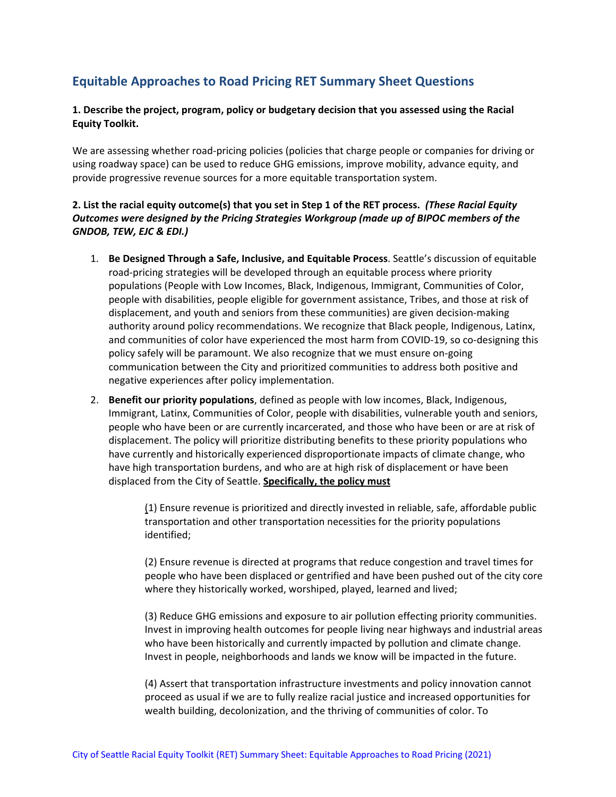## **Equitable Approaches to Road Pricing RET Summary Sheet Questions**

## **1. Describe the project, program, policy or budgetary decision that you assessed using the Racial Equity Toolkit.**

We are assessing whether road-pricing policies (policies that charge people or companies for driving or using roadway space) can be used to reduce GHG emissions, improve mobility, advance equity, and provide progressive revenue sources for a more equitable transportation system.

## **2. List the racial equity outcome(s) that you set in Step 1 of the RET process.** *(These Racial Equity Outcomes were designed by the Pricing Strategies Workgroup (made up of BIPOC members of the GNDOB, TEW, EJC & EDI.)*

- 1. **Be Designed Through a Safe, Inclusive, and Equitable Process**. Seattle's discussion of equitable road-pricing strategies will be developed through an equitable process where priority populations (People with Low Incomes, Black, Indigenous, Immigrant, Communities of Color, people with disabilities, people eligible for government assistance, Tribes, and those at risk of displacement, and youth and seniors from these communities) are given decision-making authority around policy recommendations. We recognize that Black people, Indigenous, Latinx, and communities of color have experienced the most harm from COVID-19, so co-designing this policy safely will be paramount. We also recognize that we must ensure on-going communication between the City and prioritized communities to address both positive and negative experiences after policy implementation.
- 2. **Benefit our priority populations**, defined as people with low incomes, Black, Indigenous, Immigrant, Latinx, Communities of Color, people with disabilities, vulnerable youth and seniors, people who have been or are currently incarcerated, and those who have been or are at risk of displacement. The policy will prioritize distributing benefits to these priority populations who have currently and historically experienced disproportionate impacts of climate change, who have high transportation burdens, and who are at high risk of displacement or have been displaced from the City of Seattle. **Specifically, the policy must**

(1) Ensure revenue is prioritized and directly invested in reliable, safe, affordable public transportation and other transportation necessities for the priority populations identified;

(2) Ensure revenue is directed at programs that reduce congestion and travel times for people who have been displaced or gentrified and have been pushed out of the city core where they historically worked, worshiped, played, learned and lived;

(3) Reduce GHG emissions and exposure to air pollution effecting priority communities. Invest in improving health outcomes for people living near highways and industrial areas who have been historically and currently impacted by pollution and climate change. Invest in people, neighborhoods and lands we know will be impacted in the future.

(4) Assert that transportation infrastructure investments and policy innovation cannot proceed as usual if we are to fully realize racial justice and increased opportunities for wealth building, decolonization, and the thriving of communities of color. To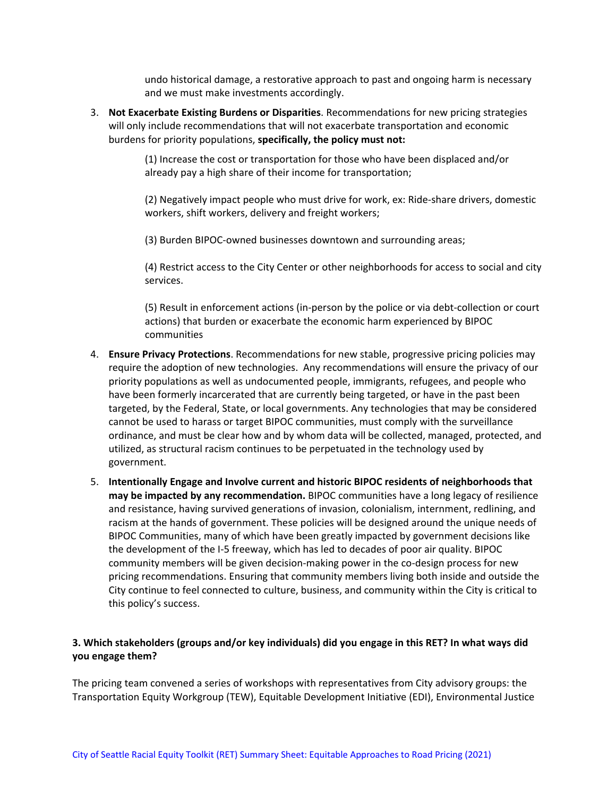undo historical damage, a restorative approach to past and ongoing harm is necessary and we must make investments accordingly.

3. **Not Exacerbate Existing Burdens or Disparities**. Recommendations for new pricing strategies will only include recommendations that will not exacerbate transportation and economic burdens for priority populations, **specifically, the policy must not:**

> (1) Increase the cost or transportation for those who have been displaced and/or already pay a high share of their income for transportation;

(2) Negatively impact people who must drive for work, ex: Ride-share drivers, domestic workers, shift workers, delivery and freight workers;

(3) Burden BIPOC-owned businesses downtown and surrounding areas;

(4) Restrict access to the City Center or other neighborhoods for access to social and city services.

(5) Result in enforcement actions (in-person by the police or via debt-collection or court actions) that burden or exacerbate the economic harm experienced by BIPOC communities

- 4. **Ensure Privacy Protections**. Recommendations for new stable, progressive pricing policies may require the adoption of new technologies. Any recommendations will ensure the privacy of our priority populations as well as undocumented people, immigrants, refugees, and people who have been formerly incarcerated that are currently being targeted, or have in the past been targeted, by the Federal, State, or local governments. Any technologies that may be considered cannot be used to harass or target BIPOC communities, must comply with the surveillance ordinance, and must be clear how and by whom data will be collected, managed, protected, and utilized, as structural racism continues to be perpetuated in the technology used by government.
- 5. **Intentionally Engage and Involve current and historic BIPOC residents of neighborhoods that may be impacted by any recommendation.** BIPOC communities have a long legacy of resilience and resistance, having survived generations of invasion, colonialism, internment, redlining, and racism at the hands of government. These policies will be designed around the unique needs of BIPOC Communities, many of which have been greatly impacted by government decisions like the development of the I-5 freeway, which has led to decades of poor air quality. BIPOC community members will be given decision-making power in the co-design process for new pricing recommendations. Ensuring that community members living both inside and outside the City continue to feel connected to culture, business, and community within the City is critical to this policy's success.

## **3. Which stakeholders (groups and/or key individuals) did you engage in this RET? In what ways did you engage them?**

The pricing team convened a series of workshops with representatives from City advisory groups: the Transportation Equity Workgroup (TEW), Equitable Development Initiative (EDI), Environmental Justice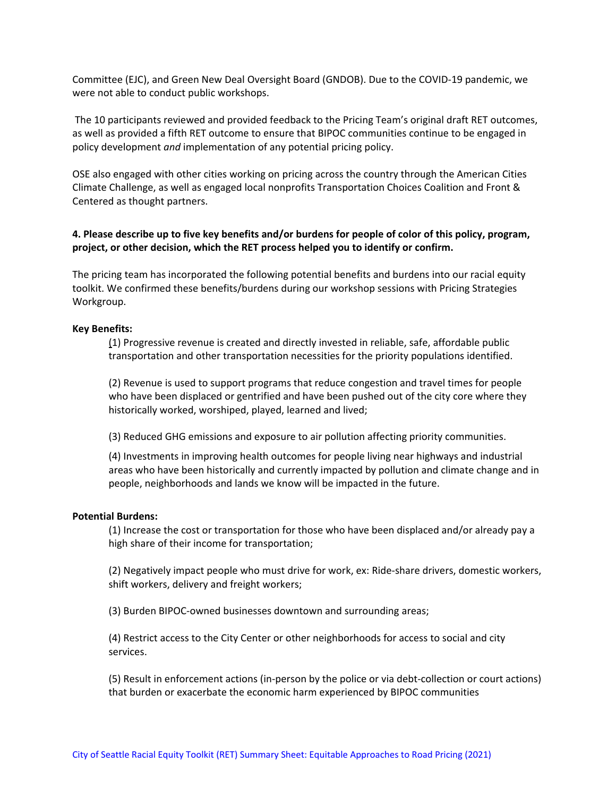Committee (EJC), and Green New Deal Oversight Board (GNDOB). Due to the COVID-19 pandemic, we were not able to conduct public workshops.

The 10 participants reviewed and provided feedback to the Pricing Team's original draft RET outcomes, as well as provided a fifth RET outcome to ensure that BIPOC communities continue to be engaged in policy development *and* implementation of any potential pricing policy.

OSE also engaged with other cities working on pricing across the country through the American Cities Climate Challenge, as well as engaged local nonprofits Transportation Choices Coalition and Front & Centered as thought partners.

### **4. Please describe up to five key benefits and/or burdens for people of color of this policy, program, project, or other decision, which the RET process helped you to identify or confirm.**

The pricing team has incorporated the following potential benefits and burdens into our racial equity toolkit. We confirmed these benefits/burdens during our workshop sessions with Pricing Strategies Workgroup.

#### **Key Benefits:**

(1) Progressive revenue is created and directly invested in reliable, safe, affordable public transportation and other transportation necessities for the priority populations identified.

(2) Revenue is used to support programs that reduce congestion and travel times for people who have been displaced or gentrified and have been pushed out of the city core where they historically worked, worshiped, played, learned and lived;

(3) Reduced GHG emissions and exposure to air pollution affecting priority communities.

(4) Investments in improving health outcomes for people living near highways and industrial areas who have been historically and currently impacted by pollution and climate change and in people, neighborhoods and lands we know will be impacted in the future.

#### **Potential Burdens:**

(1) Increase the cost or transportation for those who have been displaced and/or already pay a high share of their income for transportation;

(2) Negatively impact people who must drive for work, ex: Ride-share drivers, domestic workers, shift workers, delivery and freight workers;

(3) Burden BIPOC-owned businesses downtown and surrounding areas;

(4) Restrict access to the City Center or other neighborhoods for access to social and city services.

(5) Result in enforcement actions (in-person by the police or via debt-collection or court actions) that burden or exacerbate the economic harm experienced by BIPOC communities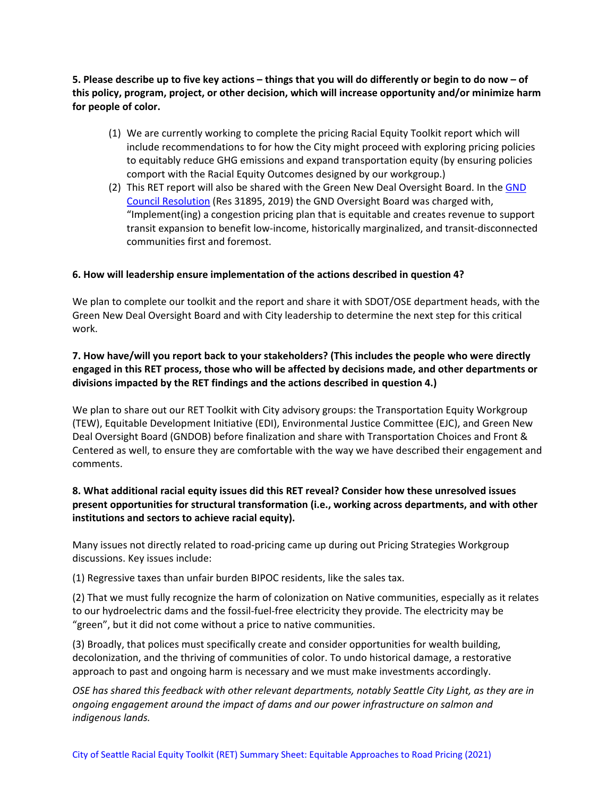**5. Please describe up to five key actions – things that you will do differently or begin to do now – of this policy, program, project, or other decision, which will increase opportunity and/or minimize harm for people of color.**

- (1) We are currently working to complete the pricing Racial Equity Toolkit report which will include recommendations to for how the City might proceed with exploring pricing policies to equitably reduce GHG emissions and expand transportation equity (by ensuring policies comport with the Racial Equity Outcomes designed by our workgroup.)
- (2) This RET report will also be shared with the Green New Deal Oversight Board. In th[e GND](http://seattle.legistar.com/ViewReport.ashx?M=R&N=Text&GID=393&ID=3605539&GUID=677CF691-4169-41FE-B781-77067E2F57BC&Title=Legislation+Text)  [Council Resolution](http://seattle.legistar.com/ViewReport.ashx?M=R&N=Text&GID=393&ID=3605539&GUID=677CF691-4169-41FE-B781-77067E2F57BC&Title=Legislation+Text) (Res 31895, 2019) the GND Oversight Board was charged with, "Implement(ing) a congestion pricing plan that is equitable and creates revenue to support transit expansion to benefit low-income, historically marginalized, and transit-disconnected communities first and foremost.

## **6. How will leadership ensure implementation of the actions described in question 4?**

We plan to complete our toolkit and the report and share it with SDOT/OSE department heads, with the Green New Deal Oversight Board and with City leadership to determine the next step for this critical work.

## **7. How have/will you report back to your stakeholders? (This includes the people who were directly engaged in this RET process, those who will be affected by decisions made, and other departments or divisions impacted by the RET findings and the actions described in question 4.)**

We plan to share out our RET Toolkit with City advisory groups: the Transportation Equity Workgroup (TEW), Equitable Development Initiative (EDI), Environmental Justice Committee (EJC), and Green New Deal Oversight Board (GNDOB) before finalization and share with Transportation Choices and Front & Centered as well, to ensure they are comfortable with the way we have described their engagement and comments.

## **8. What additional racial equity issues did this RET reveal? Consider how these unresolved issues present opportunities for structural transformation (i.e., working across departments, and with other institutions and sectors to achieve racial equity).**

Many issues not directly related to road-pricing came up during out Pricing Strategies Workgroup discussions. Key issues include:

(1) Regressive taxes than unfair burden BIPOC residents, like the sales tax.

(2) That we must fully recognize the harm of colonization on Native communities, especially as it relates to our hydroelectric dams and the fossil-fuel-free electricity they provide. The electricity may be "green", but it did not come without a price to native communities.

(3) Broadly, that polices must specifically create and consider opportunities for wealth building, decolonization, and the thriving of communities of color. To undo historical damage, a restorative approach to past and ongoing harm is necessary and we must make investments accordingly.

*OSE has shared this feedback with other relevant departments, notably Seattle City Light, as they are in ongoing engagement around the impact of dams and our power infrastructure on salmon and indigenous lands.*